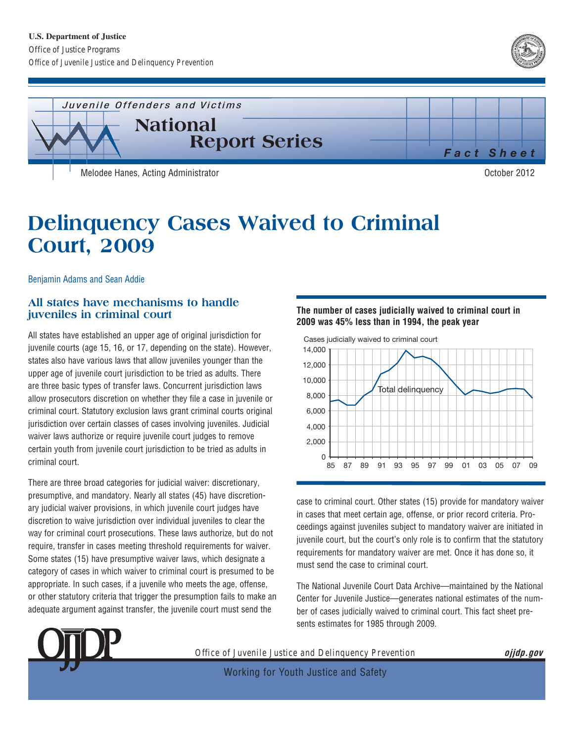



# **Delinquency Cases Waived to Criminal Court, 2009**

Benjamin Adams and Sean Addie

# **All states have mechanisms to handle juveniles in criminal court**

All states have established an upper age of original jurisdiction for juvenile courts (age 15, 16, or 17, depending on the state). However, states also have various laws that allow juveniles younger than the upper age of juvenile court jurisdiction to be tried as adults. There are three basic types of transfer laws. Concurrent jurisdiction laws allow prosecutors discretion on whether they file a case in juvenile or criminal court. Statutory exclusion laws grant criminal courts original jurisdiction over certain classes of cases involving juveniles. Judicial waiver laws authorize or require juvenile court judges to remove certain youth from juvenile court jurisdiction to be tried as adults in criminal court.

There are three broad categories for judicial waiver: discretionary, presumptive, and mandatory. Nearly all states (45) have discretionary judicial waiver provisions, in which juvenile court judges have discretion to waive jurisdiction over individual juveniles to clear the way for criminal court prosecutions. These laws authorize, but do not require, transfer in cases meeting threshold requirements for waiver. Some states (15) have presumptive waiver laws, which designate a category of cases in which waiver to criminal court is presumed to be appropriate. In such cases, if a juvenile who meets the age, offense, or other statutory criteria that trigger the presumption fails to make an adequate argument against transfer, the juvenile court must send the

## **The number of cases judicially waived to criminal court in 2009 was 45% less than in 1994, the peak year**



case to criminal court. Other states (15) provide for mandatory waiver in cases that meet certain age, offense, or prior record criteria. Proceedings against juveniles subject to mandatory waiver are initiated in juvenile court, but the court's only role is to confirm that the statutory requirements for mandatory waiver are met. Once it has done so, it must send the case to criminal court.

The National Juvenile Court Data Archive—maintained by the National Center for Juvenile Justice—generates national estimates of the number of cases judicially waived to criminal court. This fact sheet presents estimates for 1985 through 2009.



*Office of Juvenile Justice and Delinquency Prevention* **ojjdp.gov** 

Working for Youth Justice and Safety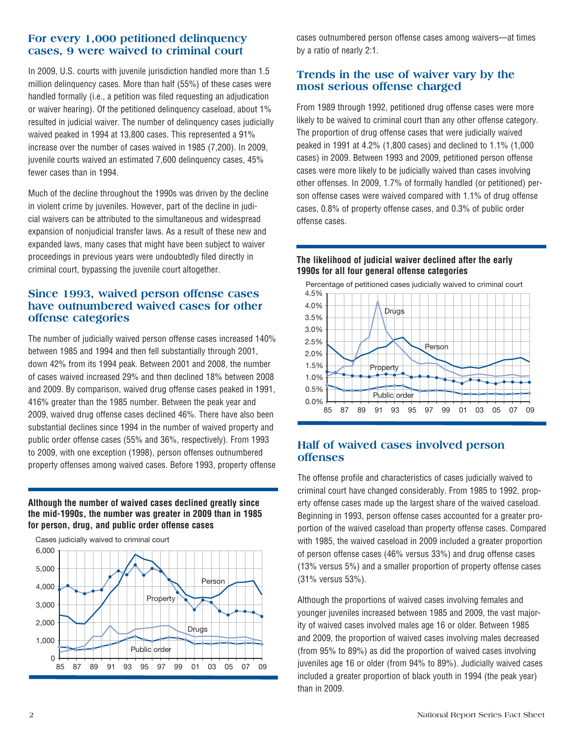# **For every 1,000 petitioned delinquency cases, 9 were waived to criminal court**

In 2009, U.S. courts with juvenile jurisdiction handled more than 1.5 million delinquency cases. More than half (55%) of these cases were handled formally (i.e., a petition was filed requesting an adjudication or waiver hearing). Of the petitioned delinquency caseload, about 1% resulted in judicial waiver. The number of delinquency cases judicially waived peaked in 1994 at 13,800 cases. This represented a 91% increase over the number of cases waived in 1985 (7,200). In 2009, juvenile courts waived an estimated 7,600 delinquency cases, 45% fewer cases than in 1994.

Much of the decline throughout the 1990s was driven by the decline in violent crime by juveniles. However, part of the decline in judicial waivers can be attributed to the simultaneous and widespread expansion of nonjudicial transfer laws. As a result of these new and expanded laws, many cases that might have been subject to waiver proceedings in previous years were undoubtedly filed directly in criminal court, bypassing the juvenile court altogether.

## **Since 1993, waived person offense cases have outnumbered waived cases for other offense categories**

The number of judicially waived person offense cases increased 140% between 1985 and 1994 and then fell substantially through 2001, down 42% from its 1994 peak. Between 2001 and 2008, the number of cases waived increased 29% and then declined 18% between 2008 and 2009. By comparison, waived drug offense cases peaked in 1991, 416% greater than the 1985 number. Between the peak year and 2009, waived drug offense cases declined 46%. There have also been substantial declines since 1994 in the number of waived property and public order offense cases (55% and 36%, respectively). From 1993 to 2009, with one exception (1998), person offenses outnumbered property offenses among waived cases. Before 1993, property offense

**Although the number of waived cases declined greatly since the mid-1990s, the number was greater in 2009 than in 1985 for person, drug, and public order offense cases** 



cases outnumbered person offense cases among waivers—at times by a ratio of nearly 2:1.

# **Trends in the use of waiver vary by the most serious offense charged**

From 1989 through 1992, petitioned drug offense cases were more likely to be waived to criminal court than any other offense category. The proportion of drug offense cases that were judicially waived peaked in 1991 at 4.2% (1,800 cases) and declined to 1.1% (1,000 cases) in 2009. Between 1993 and 2009, petitioned person offense cases were more likely to be judicially waived than cases involving other offenses. In 2009, 1.7% of formally handled (or petitioned) person offense cases were waived compared with 1.1% of drug offense cases, 0.8% of property offense cases, and 0.3% of public order offense cases.

## **The likelihood of judicial waiver declined after the early 1990s for all four general offense categories**



## **Half of waived cases involved person offenses**

The offense profile and characteristics of cases judicially waived to criminal court have changed considerably. From 1985 to 1992, property offense cases made up the largest share of the waived caseload. Beginning in 1993, person offense cases accounted for a greater proportion of the waived caseload than property offense cases. Compared with 1985, the waived caseload in 2009 included a greater proportion of person offense cases (46% versus 33%) and drug offense cases (13% versus 5%) and a smaller proportion of property offense cases (31% versus 53%).

Although the proportions of waived cases involving females and younger juveniles increased between 1985 and 2009, the vast majority of waived cases involved males age 16 or older. Between 1985 and 2009, the proportion of waived cases involving males decreased (from 95% to 89%) as did the proportion of waived cases involving juveniles age 16 or older (from 94% to 89%). Judicially waived cases included a greater proportion of black youth in 1994 (the peak year) than in 2009.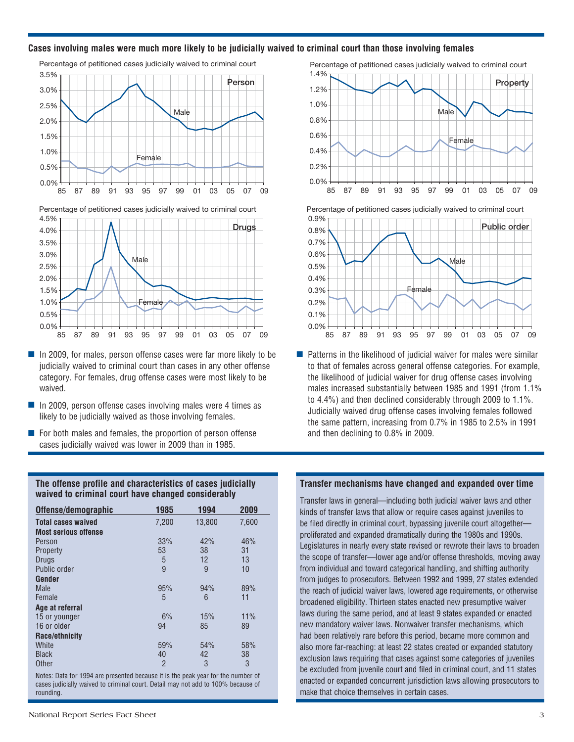#### **Cases involving males were much more likely to be judicially waived to criminal court than those involving females**







- $\blacksquare$  In 2009, for males, person offense cases were far more likely to be judicially waived to criminal court than cases in any other offense category. For females, drug offense cases were most likely to be waived.
- $\blacksquare$  In 2009, person offense cases involving males were 4 times as likely to be judicially waived as those involving females.
- $\blacksquare$  For both males and females, the proportion of person offense cases judicially waived was lower in 2009 than in 1985.

**The offense profile and characteristics of cases judicially waived to criminal court have changed considerably** 

| Offense/demographic         | 1985           | 1994   | 2009  |
|-----------------------------|----------------|--------|-------|
| <b>Total cases waived</b>   | 7,200          | 13.800 | 7,600 |
| <b>Most serious offense</b> |                |        |       |
| Person                      | 33%            | 42%    | 46%   |
| Property                    | 53             | 38     | 31    |
| Drugs                       | 5              | 12     | 13    |
| Public order                | 9              | 9      | 10    |
| Gender                      |                |        |       |
| Male                        | 95%            | 94%    | 89%   |
| Female                      | 5              | 6      | 11    |
| Age at referral             |                |        |       |
| 15 or younger               | 6%             | 15%    | 11%   |
| 16 or older                 | 94             | 85     | 89    |
| Race/ethnicity              |                |        |       |
| White                       | 59%            | 54%    | 58%   |
| <b>Black</b>                | 40             | 42     | 38    |
| <b>Other</b>                | $\overline{2}$ | 3      | 3     |
|                             |                |        |       |

Notes: Data for 1994 are presented because it is the peak year for the number of cases judicially waived to criminal court. Detail may not add to 100% because of rounding.

Percentage of petitioned cases judicially waived to criminal court



Percentage of petitioned cases judicially waived to criminal court



 $\blacksquare$  Patterns in the likelihood of judicial waiver for males were similar to that of females across general offense categories. For example, the likelihood of judicial waiver for drug offense cases involving males increased substantially between 1985 and 1991 (from 1.1% to 4.4%) and then declined considerably through 2009 to 1.1%. Judicially waived drug offense cases involving females followed the same pattern, increasing from 0.7% in 1985 to 2.5% in 1991 and then declining to 0.8% in 2009.

#### **Transfer mechanisms have changed and expanded over time**

Transfer laws in general—including both judicial waiver laws and other kinds of transfer laws that allow or require cases against juveniles to be filed directly in criminal court, bypassing juvenile court altogether proliferated and expanded dramatically during the 1980s and 1990s. Legislatures in nearly every state revised or rewrote their laws to broaden the scope of transfer—lower age and/or offense thresholds, moving away from individual and toward categorical handling, and shifting authority from judges to prosecutors. Between 1992 and 1999, 27 states extended the reach of judicial waiver laws, lowered age requirements, or otherwise broadened eligibility. Thirteen states enacted new presumptive waiver laws during the same period, and at least 9 states expanded or enacted new mandatory waiver laws. Nonwaiver transfer mechanisms, which had been relatively rare before this period, became more common and also more far-reaching: at least 22 states created or expanded statutory exclusion laws requiring that cases against some categories of juveniles be excluded from juvenile court and filed in criminal court, and 11 states enacted or expanded concurrent jurisdiction laws allowing prosecutors to make that choice themselves in certain cases.